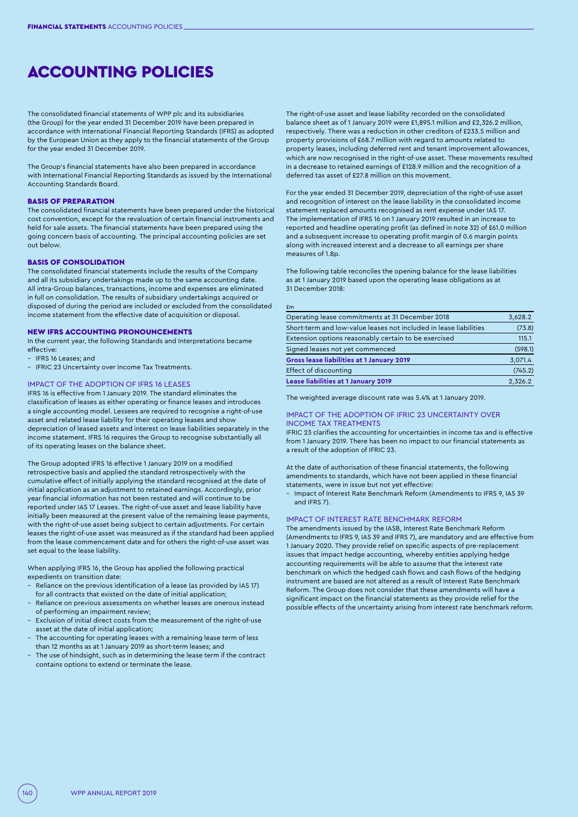# ACCOUNTING POLICIES

The consolidated financial statements of WPP plc and its subsidiaries (the Group) for the year ended 31 December 2019 have been prepared in accordance with International Financial Reporting Standards (IFRS) as adopted by the European Union as they apply to the financial statements of the Group for the year ended 31 December 2019.

The Group's financial statements have also been prepared in accordance with International Financial Reporting Standards as issued by the International Accounting Standards Board.

## BASIS OF PREPARATION

The consolidated financial statements have been prepared under the historical cost convention, except for the revaluation of certain financial instruments and held for sale assets. The financial statements have been prepared using the going concern basis of accounting. The principal accounting policies are set out below.

## BASIS OF CONSOLIDATION

The consolidated financial statements include the results of the Company and all its subsidiary undertakings made up to the same accounting date. All intra-Group balances, transactions, income and expenses are eliminated in full on consolidation. The results of subsidiary undertakings acquired or disposed of during the period are included or excluded from the consolidated income statement from the effective date of acquisition or disposal.

## NEW IFRS ACCOUNTING PRONOUNCEMENTS

In the current year, the following Standards and Interpretations became effective:

- IFRS 16 Leases; and
- IFRIC 23 Uncertainty over Income Tax Treatments.

## IMPACT OF THE ADOPTION OF IFRS 16 LEASES

IFRS 16 is effective from 1 January 2019. The standard eliminates the classification of leases as either operating or finance leases and introduces a single accounting model. Lessees are required to recognise a right-of-use asset and related lease liability for their operating leases and show depreciation of leased assets and interest on lease liabilities separately in the income statement. IFRS 16 requires the Group to recognise substantially all of its operating leases on the balance sheet.

The Group adopted IFRS 16 effective 1 January 2019 on a modified retrospective basis and applied the standard retrospectively with the cumulative effect of initially applying the standard recognised at the date of initial application as an adjustment to retained earnings. Accordingly, prior year financial information has not been restated and will continue to be reported under IAS 17 Leases. The right-of-use asset and lease liability have initially been measured at the present value of the remaining lease payments, with the right-of-use asset being subject to certain adjustments. For certain leases the right-of-use asset was measured as if the standard had been applied from the lease commencement date and for others the right-of-use asset was set equal to the lease liability.

When applying IFRS 16, the Group has applied the following practical expedients on transition date:

- Reliance on the previous identification of a lease (as provided by IAS 17) for all contracts that existed on the date of initial application;
- Reliance on previous assessments on whether leases are onerous instead of performing an impairment review;
- Exclusion of initial direct costs from the measurement of the right-of-use asset at the date of initial application;
- The accounting for operating leases with a remaining lease term of less than 12 months as at 1 January 2019 as short-term leases; and
- The use of hindsight, such as in determining the lease term if the contract contains options to extend or terminate the lease.

The right-of-use asset and lease liability recorded on the consolidated balance sheet as of 1 January 2019 were £1,895.1 million and £2,326.2 million, respectively. There was a reduction in other creditors of £233.5 million and property provisions of £68.7 million with regard to amounts related to property leases, including deferred rent and tenant improvement allowances, which are now recognised in the right-of-use asset. These movements resulted in a decrease to retained earnings of £128.9 million and the recognition of a deferred tax asset of £27.8 million on this movement.

For the year ended 31 December 2019, depreciation of the right-of-use asset and recognition of interest on the lease liability in the consolidated income statement replaced amounts recognised as rent expense under IAS 17. The implementation of IFRS 16 on 1 January 2019 resulted in an increase to reported and headline operating profit (as defined in note 32) of £61.0 million and a subsequent increase to operating profit margin of 0.6 margin points along with increased interest and a decrease to all earnings per share measures of 1.8p.

The following table reconciles the opening balance for the lease liabilities as at 1 January 2019 based upon the operating lease obligations as at 31 December 2018:

#### £m

| Operating lease commitments at 31 December 2018                   | 3,628.2 |
|-------------------------------------------------------------------|---------|
| Short-term and low-value leases not included in lease liabilities | (73.8)  |
| Extension options reasonably certain to be exercised              | 115.1   |
| Signed leases not yet commenced                                   | (598.1) |
| <b>Gross lease liabilities at 1 January 2019</b>                  | 3,071.4 |
| Effect of discounting                                             | (745.2) |
| <b>Lease liabilities at 1 January 2019</b>                        | 2,326.2 |

The weighted average discount rate was 5.4% at 1 January 2019.

#### IMPACT OF THE ADOPTION OF IFRIC 23 UNCERTAINTY OVER INCOME TAX TREATMENTS

IFRIC 23 clarifies the accounting for uncertainties in income tax and is effective from 1 January 2019. There has been no impact to our financial statements as a result of the adoption of IFRIC 23.

At the date of authorisation of these financial statements, the following amendments to standards, which have not been applied in these financial statements, were in issue but not yet effective:

– Impact of Interest Rate Benchmark Reform (Amendments to IFRS 9, IAS 39 and IFRS 7).

#### IMPACT OF INTEREST RATE BENCHMARK REFORM

The amendments issued by the IASB, Interest Rate Benchmark Reform (Amendments to IFRS 9, IAS 39 and IFRS 7), are mandatory and are effective from 1 January 2020. They provide relief on specific aspects of pre-replacement issues that impact hedge accounting, whereby entities applying hedge accounting requirements will be able to assume that the interest rate benchmark on which the hedged cash flows and cash flows of the hedging instrument are based are not altered as a result of Interest Rate Benchmark Reform. The Group does not consider that these amendments will have a significant impact on the financial statements as they provide relief for the possible effects of the uncertainty arising from interest rate benchmark reform.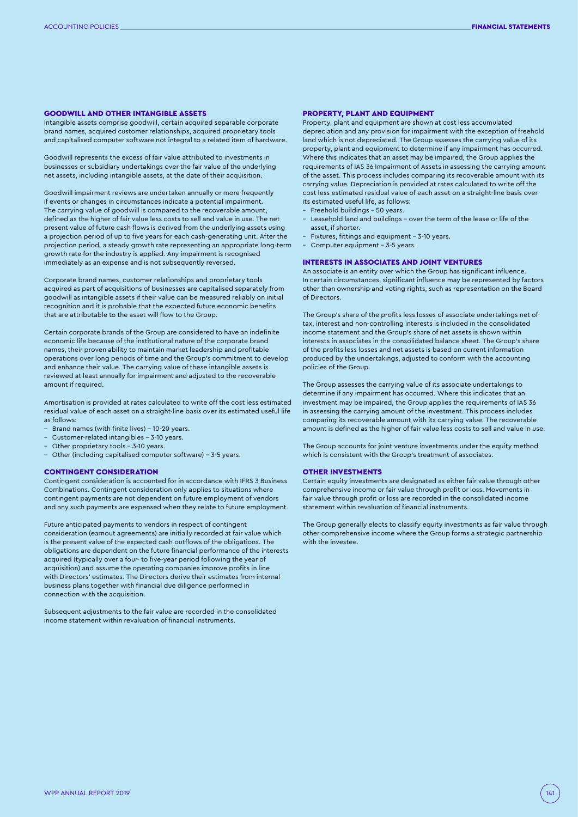## GOODWILL AND OTHER INTANGIBLE ASSETS

Intangible assets comprise goodwill, certain acquired separable corporate brand names, acquired customer relationships, acquired proprietary tools and capitalised computer software not integral to a related item of hardware.

Goodwill represents the excess of fair value attributed to investments in businesses or subsidiary undertakings over the fair value of the underlying net assets, including intangible assets, at the date of their acquisition.

Goodwill impairment reviews are undertaken annually or more frequently if events or changes in circumstances indicate a potential impairment. The carrying value of goodwill is compared to the recoverable amount, defined as the higher of fair value less costs to sell and value in use. The net present value of future cash flows is derived from the underlying assets using a projection period of up to five years for each cash-generating unit. After the projection period, a steady growth rate representing an appropriate long-term growth rate for the industry is applied. Any impairment is recognised immediately as an expense and is not subsequently reversed.

Corporate brand names, customer relationships and proprietary tools acquired as part of acquisitions of businesses are capitalised separately from goodwill as intangible assets if their value can be measured reliably on initial recognition and it is probable that the expected future economic benefits that are attributable to the asset will flow to the Group.

Certain corporate brands of the Group are considered to have an indefinite economic life because of the institutional nature of the corporate brand names, their proven ability to maintain market leadership and profitable operations over long periods of time and the Group's commitment to develop and enhance their value. The carrying value of these intangible assets is reviewed at least annually for impairment and adjusted to the recoverable amount if required.

Amortisation is provided at rates calculated to write off the cost less estimated residual value of each asset on a straight-line basis over its estimated useful life as follows:

- Brand names (with finite lives) 10-20 years.
- Customer-related intangibles 3-10 years.
- Other proprietary tools 3-10 years.
- Other (including capitalised computer software) 3-5 years.

# CONTINGENT CONSIDERATION

Contingent consideration is accounted for in accordance with IFRS 3 Business Combinations. Contingent consideration only applies to situations where contingent payments are not dependent on future employment of vendors and any such payments are expensed when they relate to future employment.

Future anticipated payments to vendors in respect of contingent consideration (earnout agreements) are initially recorded at fair value which is the present value of the expected cash outflows of the obligations. The obligations are dependent on the future financial performance of the interests acquired (typically over a four- to five-year period following the year of acquisition) and assume the operating companies improve profits in line with Directors' estimates. The Directors derive their estimates from internal business plans together with financial due diligence performed in connection with the acquisition.

Subsequent adjustments to the fair value are recorded in the consolidated income statement within revaluation of financial instruments.

#### PROPERTY, PLANT AND EQUIPMENT

Property, plant and equipment are shown at cost less accumulated depreciation and any provision for impairment with the exception of freehold land which is not depreciated. The Group assesses the carrying value of its property, plant and equipment to determine if any impairment has occurred. Where this indicates that an asset may be impaired, the Group applies the requirements of IAS 36 Impairment of Assets in assessing the carrying amount of the asset. This process includes comparing its recoverable amount with its carrying value. Depreciation is provided at rates calculated to write off the cost less estimated residual value of each asset on a straight-line basis over its estimated useful life, as follows:

- Freehold buildings 50 years.
- Leasehold land and buildings over the term of the lease or life of the asset, if shorter.
- Fixtures, fittings and equipment 3-10 years.
- Computer equipment 3-5 years.
- INTERESTS IN ASSOCIATES AND JOINT VENTURES

An associate is an entity over which the Group has significant influence. In certain circumstances, significant influence may be represented by factors

of Directors. The Group's share of the profits less losses of associate undertakings net of tax, interest and non-controlling interests is included in the consolidated income statement and the Group's share of net assets is shown within interests in associates in the consolidated balance sheet. The Group's share of the profits less losses and net assets is based on current information produced by the undertakings, adjusted to conform with the accounting

other than ownership and voting rights, such as representation on the Board

The Group assesses the carrying value of its associate undertakings to determine if any impairment has occurred. Where this indicates that an investment may be impaired, the Group applies the requirements of IAS 36 in assessing the carrying amount of the investment. This process includes comparing its recoverable amount with its carrying value. The recoverable amount is defined as the higher of fair value less costs to sell and value in use.

The Group accounts for joint venture investments under the equity method which is consistent with the Group's treatment of associates.

## OTHER INVESTMENTS

policies of the Group.

Certain equity investments are designated as either fair value through other comprehensive income or fair value through profit or loss. Movements in fair value through profit or loss are recorded in the consolidated income statement within revaluation of financial instruments.

The Group generally elects to classify equity investments as fair value through other comprehensive income where the Group forms a strategic partnership with the investee.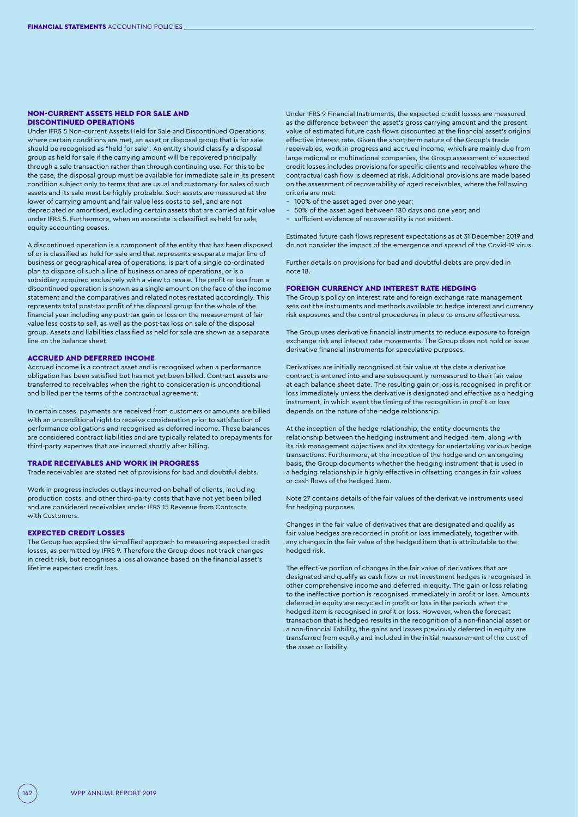### NON-CURRENT ASSETS HELD FOR SALE AND DISCONTINUED OPERATIONS

Under IFRS 5 Non-current Assets Held for Sale and Discontinued Operations, where certain conditions are met, an asset or disposal group that is for sale should be recognised as "held for sale". An entity should classify a disposal group as held for sale if the carrying amount will be recovered principally through a sale transaction rather than through continuing use. For this to be the case, the disposal group must be available for immediate sale in its present condition subject only to terms that are usual and customary for sales of such assets and its sale must be highly probable. Such assets are measured at the lower of carrying amount and fair value less costs to sell, and are not depreciated or amortised, excluding certain assets that are carried at fair value under IFRS 5. Furthermore, when an associate is classified as held for sale, equity accounting ceases.

A discontinued operation is a component of the entity that has been disposed of or is classified as held for sale and that represents a separate major line of business or geographical area of operations, is part of a single co-ordinated plan to dispose of such a line of business or area of operations, or is a subsidiary acquired exclusively with a view to resale. The profit or loss from a discontinued operation is shown as a single amount on the face of the income statement and the comparatives and related notes restated accordingly. This represents total post-tax profit of the disposal group for the whole of the financial year including any post-tax gain or loss on the measurement of fair value less costs to sell, as well as the post-tax loss on sale of the disposal group. Assets and liabilities classified as held for sale are shown as a separate line on the balance sheet.

# ACCRUED AND DEFERRED INCOME

Accrued income is a contract asset and is recognised when a performance obligation has been satisfied but has not yet been billed. Contract assets are transferred to receivables when the right to consideration is unconditional and billed per the terms of the contractual agreement.

In certain cases, payments are received from customers or amounts are billed with an unconditional right to receive consideration prior to satisfaction of performance obligations and recognised as deferred income. These balances are considered contract liabilities and are typically related to prepayments for third-party expenses that are incurred shortly after billing.

## TRADE RECEIVABLES AND WORK IN PROGRESS

Trade receivables are stated net of provisions for bad and doubtful debts.

Work in progress includes outlays incurred on behalf of clients, including production costs, and other third-party costs that have not yet been billed and are considered receivables under IFRS 15 Revenue from Contracts with Customers.

## EXPECTED CREDIT LOSSES

The Group has applied the simplified approach to measuring expected credit losses, as permitted by IFRS 9. Therefore the Group does not track changes in credit risk, but recognises a loss allowance based on the financial asset's lifetime expected credit loss.

Under IFRS 9 Financial Instruments, the expected credit losses are measured as the difference between the asset's gross carrying amount and the present value of estimated future cash flows discounted at the financial asset's original effective interest rate. Given the short-term nature of the Group's trade receivables, work in progress and accrued income, which are mainly due from large national or multinational companies, the Group assessment of expected credit losses includes provisions for specific clients and receivables where the contractual cash flow is deemed at risk. Additional provisions are made based on the assessment of recoverability of aged receivables, where the following criteria are met:

- 100% of the asset aged over one year;
- 50% of the asset aged between 180 days and one year; and
- sufficient evidence of recoverability is not evident.

Estimated future cash flows represent expectations as at 31 December 2019 and do not consider the impact of the emergence and spread of the Covid-19 virus.

Further details on provisions for bad and doubtful debts are provided in note 18.

#### FOREIGN CURRENCY AND INTEREST RATE HEDGING

The Group's policy on interest rate and foreign exchange rate management sets out the instruments and methods available to hedge interest and currency risk exposures and the control procedures in place to ensure effectiveness.

The Group uses derivative financial instruments to reduce exposure to foreign exchange risk and interest rate movements. The Group does not hold or issue derivative financial instruments for speculative purposes.

Derivatives are initially recognised at fair value at the date a derivative contract is entered into and are subsequently remeasured to their fair value at each balance sheet date. The resulting gain or loss is recognised in profit or loss immediately unless the derivative is designated and effective as a hedging instrument, in which event the timing of the recognition in profit or loss depends on the nature of the hedge relationship.

At the inception of the hedge relationship, the entity documents the relationship between the hedging instrument and hedged item, along with its risk management objectives and its strategy for undertaking various hedge transactions. Furthermore, at the inception of the hedge and on an ongoing basis, the Group documents whether the hedging instrument that is used in a hedging relationship is highly effective in offsetting changes in fair values or cash flows of the hedged item.

Note 27 contains details of the fair values of the derivative instruments used for hedging purposes.

Changes in the fair value of derivatives that are designated and qualify as fair value hedges are recorded in profit or loss immediately, together with any changes in the fair value of the hedged item that is attributable to the hedged risk.

The effective portion of changes in the fair value of derivatives that are designated and qualify as cash flow or net investment hedges is recognised in other comprehensive income and deferred in equity. The gain or loss relating to the ineffective portion is recognised immediately in profit or loss. Amounts deferred in equity are recycled in profit or loss in the periods when the hedged item is recognised in profit or loss. However, when the forecast transaction that is hedged results in the recognition of a non-financial asset or a non-financial liability, the gains and losses previously deferred in equity are transferred from equity and included in the initial measurement of the cost of the asset or liability.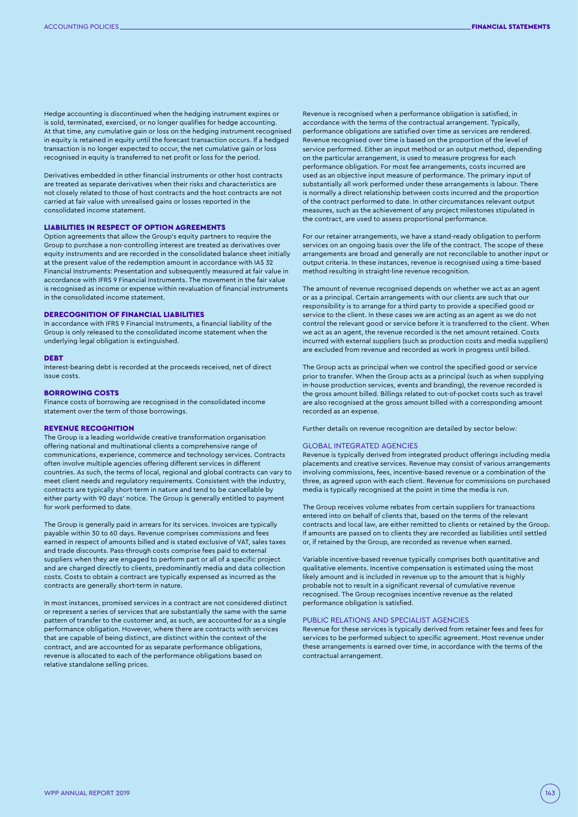Hedge accounting is discontinued when the hedging instrument expires or is sold, terminated, exercised, or no longer qualifies for hedge accounting. At that time, any cumulative gain or loss on the hedging instrument recognised in equity is retained in equity until the forecast transaction occurs. If a hedged transaction is no longer expected to occur, the net cumulative gain or loss recognised in equity is transferred to net profit or loss for the period.

Derivatives embedded in other financial instruments or other host contracts are treated as separate derivatives when their risks and characteristics are not closely related to those of host contracts and the host contracts are not carried at fair value with unrealised gains or losses reported in the consolidated income statement.

## LIABILITIES IN RESPECT OF OPTION AGREEMENTS

Option agreements that allow the Group's equity partners to require the Group to purchase a non-controlling interest are treated as derivatives over equity instruments and are recorded in the consolidated balance sheet initially at the present value of the redemption amount in accordance with IAS 32 Financial Instruments: Presentation and subsequently measured at fair value in accordance with IFRS 9 Financial Instruments. The movement in the fair value is recognised as income or expense within revaluation of financial instruments in the consolidated income statement.

# DERECOGNITION OF FINANCIAL LIABILITIES

In accordance with IFRS 9 Financial Instruments, a financial liability of the Group is only released to the consolidated income statement when the underlying legal obligation is extinguished.

#### DEBT

Interest-bearing debt is recorded at the proceeds received, net of direct issue costs.

#### BORROWING COSTS

Finance costs of borrowing are recognised in the consolidated income statement over the term of those borrowings.

## REVENUE RECOGNITION

The Group is a leading worldwide creative transformation organisation offering national and multinational clients a comprehensive range of communications, experience, commerce and technology services. Contracts often involve multiple agencies offering different services in different countries. As such, the terms of local, regional and global contracts can vary to meet client needs and regulatory requirements. Consistent with the industry, contracts are typically short-term in nature and tend to be cancellable by either party with 90 days' notice. The Group is generally entitled to payment for work performed to date.

The Group is generally paid in arrears for its services. Invoices are typically payable within 30 to 60 days. Revenue comprises commissions and fees earned in respect of amounts billed and is stated exclusive of VAT, sales taxes and trade discounts. Pass-through costs comprise fees paid to external suppliers when they are engaged to perform part or all of a specific project and are charged directly to clients, predominantly media and data collection costs. Costs to obtain a contract are typically expensed as incurred as the contracts are generally short-term in nature.

In most instances, promised services in a contract are not considered distinct or represent a series of services that are substantially the same with the same pattern of transfer to the customer and, as such, are accounted for as a single performance obligation. However, where there are contracts with services that are capable of being distinct, are distinct within the context of the contract, and are accounted for as separate performance obligations, revenue is allocated to each of the performance obligations based on relative standalone selling prices.

Revenue is recognised when a performance obligation is satisfied, in accordance with the terms of the contractual arrangement. Typically, performance obligations are satisfied over time as services are rendered. Revenue recognised over time is based on the proportion of the level of service performed. Either an input method or an output method, depending on the particular arrangement, is used to measure progress for each performance obligation. For most fee arrangements, costs incurred are used as an objective input measure of performance. The primary input of substantially all work performed under these arrangements is labour. There is normally a direct relationship between costs incurred and the proportion of the contract performed to date. In other circumstances relevant output measures, such as the achievement of any project milestones stipulated in the contract, are used to assess proportional performance.

For our retainer arrangements, we have a stand-ready obligation to perform services on an ongoing basis over the life of the contract. The scope of these arrangements are broad and generally are not reconcilable to another input or output criteria. In these instances, revenue is recognised using a time-based method resulting in straight-line revenue recognition.

The amount of revenue recognised depends on whether we act as an agent or as a principal. Certain arrangements with our clients are such that our responsibility is to arrange for a third party to provide a specified good or service to the client. In these cases we are acting as an agent as we do not control the relevant good or service before it is transferred to the client. When we act as an agent, the revenue recorded is the net amount retained. Costs incurred with external suppliers (such as production costs and media suppliers) are excluded from revenue and recorded as work in progress until billed.

The Group acts as principal when we control the specified good or service prior to transfer. When the Group acts as a principal (such as when supplying in-house production services, events and branding), the revenue recorded is the gross amount billed. Billings related to out-of-pocket costs such as travel are also recognised at the gross amount billed with a corresponding amount recorded as an expense.

Further details on revenue recognition are detailed by sector below:

# GLOBAL INTEGRATED AGENCIES

Revenue is typically derived from integrated product offerings including media placements and creative services. Revenue may consist of various arrangements involving commissions, fees, incentive-based revenue or a combination of the three, as agreed upon with each client. Revenue for commissions on purchased media is typically recognised at the point in time the media is run.

The Group receives volume rebates from certain suppliers for transactions entered into on behalf of clients that, based on the terms of the relevant contracts and local law, are either remitted to clients or retained by the Group. If amounts are passed on to clients they are recorded as liabilities until settled or, if retained by the Group, are recorded as revenue when earned.

Variable incentive-based revenue typically comprises both quantitative and qualitative elements. Incentive compensation is estimated using the most likely amount and is included in revenue up to the amount that is highly probable not to result in a significant reversal of cumulative revenue recognised. The Group recognises incentive revenue as the related performance obligation is satisfied.

## PUBLIC RELATIONS AND SPECIALIST AGENCIES

Revenue for these services is typically derived from retainer fees and fees for services to be performed subject to specific agreement. Most revenue under these arrangements is earned over time, in accordance with the terms of the contractual arrangement.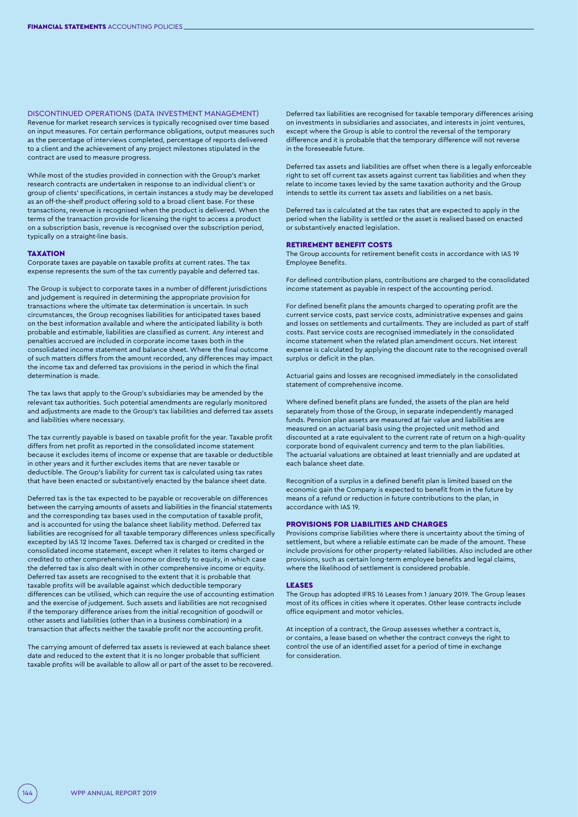DISCONTINUED OPERATIONS (DATA INVESTMENT MANAGEMENT) Revenue for market research services is typically recognised over time based on input measures. For certain performance obligations, output measures such as the percentage of interviews completed, percentage of reports delivered to a client and the achievement of any project milestones stipulated in the contract are used to measure progress.

While most of the studies provided in connection with the Group's market research contracts are undertaken in response to an individual client's or group of clients' specifications, in certain instances a study may be developed as an off-the-shelf product offering sold to a broad client base. For these transactions, revenue is recognised when the product is delivered. When the terms of the transaction provide for licensing the right to access a product on a subscription basis, revenue is recognised over the subscription period, typically on a straight-line basis.

#### **TAXATION**

Corporate taxes are payable on taxable profits at current rates. The tax expense represents the sum of the tax currently payable and deferred tax.

The Group is subject to corporate taxes in a number of different jurisdictions and judgement is required in determining the appropriate provision for transactions where the ultimate tax determination is uncertain. In such circumstances, the Group recognises liabilities for anticipated taxes based on the best information available and where the anticipated liability is both probable and estimable, liabilities are classified as current. Any interest and penalties accrued are included in corporate income taxes both in the consolidated income statement and balance sheet. Where the final outcome of such matters differs from the amount recorded, any differences may impact the income tax and deferred tax provisions in the period in which the final determination is made.

The tax laws that apply to the Group's subsidiaries may be amended by the relevant tax authorities. Such potential amendments are regularly monitored and adjustments are made to the Group's tax liabilities and deferred tax assets and liabilities where necessary.

The tax currently payable is based on taxable profit for the year. Taxable profit differs from net profit as reported in the consolidated income statement because it excludes items of income or expense that are taxable or deductible in other years and it further excludes items that are never taxable or deductible. The Group's liability for current tax is calculated using tax rates that have been enacted or substantively enacted by the balance sheet date.

Deferred tax is the tax expected to be payable or recoverable on differences between the carrying amounts of assets and liabilities in the financial statements and the corresponding tax bases used in the computation of taxable profit, and is accounted for using the balance sheet liability method. Deferred tax liabilities are recognised for all taxable temporary differences unless specifically excepted by IAS 12 Income Taxes. Deferred tax is charged or credited in the consolidated income statement, except when it relates to items charged or credited to other comprehensive income or directly to equity, in which case the deferred tax is also dealt with in other comprehensive income or equity. Deferred tax assets are recognised to the extent that it is probable that taxable profits will be available against which deductible temporary differences can be utilised, which can require the use of accounting estimation and the exercise of judgement. Such assets and liabilities are not recognised if the temporary difference arises from the initial recognition of goodwill or other assets and liabilities (other than in a business combination) in a transaction that affects neither the taxable profit nor the accounting profit.

The carrying amount of deferred tax assets is reviewed at each balance sheet date and reduced to the extent that it is no longer probable that sufficient taxable profits will be available to allow all or part of the asset to be recovered. Deferred tax liabilities are recognised for taxable temporary differences arising on investments in subsidiaries and associates, and interests in joint ventures, except where the Group is able to control the reversal of the temporary difference and it is probable that the temporary difference will not reverse in the foreseeable future.

Deferred tax assets and liabilities are offset when there is a legally enforceable right to set off current tax assets against current tax liabilities and when they relate to income taxes levied by the same taxation authority and the Group intends to settle its current tax assets and liabilities on a net basis.

Deferred tax is calculated at the tax rates that are expected to apply in the period when the liability is settled or the asset is realised based on enacted or substantively enacted legislation.

## RETIREMENT BENEFIT COSTS

The Group accounts for retirement benefit costs in accordance with IAS 19 Employee Benefits.

For defined contribution plans, contributions are charged to the consolidated income statement as payable in respect of the accounting period.

For defined benefit plans the amounts charged to operating profit are the current service costs, past service costs, administrative expenses and gains and losses on settlements and curtailments. They are included as part of staff costs. Past service costs are recognised immediately in the consolidated income statement when the related plan amendment occurs. Net interest expense is calculated by applying the discount rate to the recognised overall surplus or deficit in the plan.

Actuarial gains and losses are recognised immediately in the consolidated statement of comprehensive income.

Where defined benefit plans are funded, the assets of the plan are held separately from those of the Group, in separate independently managed funds. Pension plan assets are measured at fair value and liabilities are measured on an actuarial basis using the projected unit method and discounted at a rate equivalent to the current rate of return on a high-quality corporate bond of equivalent currency and term to the plan liabilities. The actuarial valuations are obtained at least triennially and are updated at each balance sheet date.

Recognition of a surplus in a defined benefit plan is limited based on the economic gain the Company is expected to benefit from in the future by means of a refund or reduction in future contributions to the plan, in accordance with IAS 19.

# PROVISIONS FOR LIABILITIES AND CHARGES

Provisions comprise liabilities where there is uncertainty about the timing of settlement, but where a reliable estimate can be made of the amount. These include provisions for other property-related liabilities. Also included are other provisions, such as certain long-term employee benefits and legal claims, where the likelihood of settlement is considered probable.

#### LEASES

The Group has adopted IFRS 16 Leases from 1 January 2019. The Group leases most of its offices in cities where it operates. Other lease contracts include office equipment and motor vehicles.

At inception of a contract, the Group assesses whether a contract is, or contains, a lease based on whether the contract conveys the right to control the use of an identified asset for a period of time in exchange for consideration.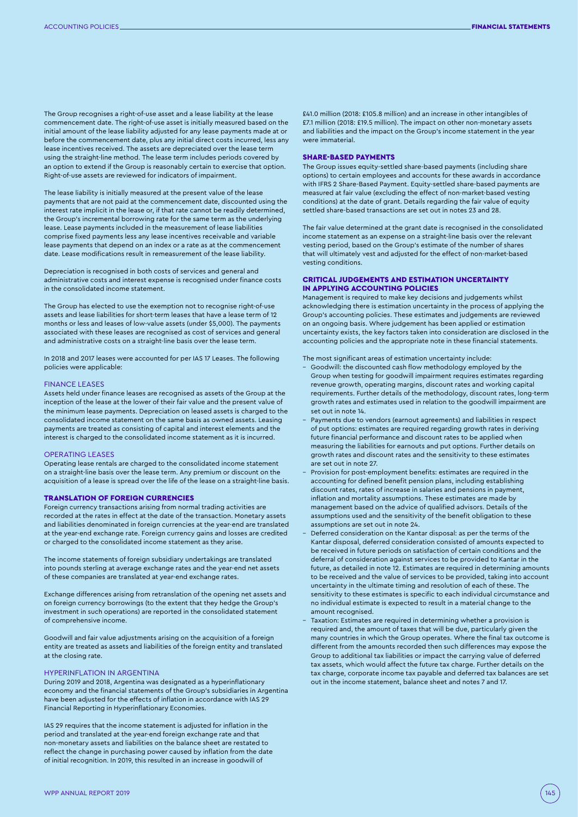The Group recognises a right-of-use asset and a lease liability at the lease commencement date. The right-of-use asset is initially measured based on the initial amount of the lease liability adjusted for any lease payments made at or before the commencement date, plus any initial direct costs incurred, less any lease incentives received. The assets are depreciated over the lease term using the straight-line method. The lease term includes periods covered by an option to extend if the Group is reasonably certain to exercise that option. Right-of-use assets are reviewed for indicators of impairment.

The lease liability is initially measured at the present value of the lease payments that are not paid at the commencement date, discounted using the interest rate implicit in the lease or, if that rate cannot be readily determined, the Group's incremental borrowing rate for the same term as the underlying lease. Lease payments included in the measurement of lease liabilities comprise fixed payments less any lease incentives receivable and variable lease payments that depend on an index or a rate as at the commencement date. Lease modifications result in remeasurement of the lease liability.

Depreciation is recognised in both costs of services and general and administrative costs and interest expense is recognised under finance costs in the consolidated income statement.

The Group has elected to use the exemption not to recognise right-of-use assets and lease liabilities for short-term leases that have a lease term of 12 months or less and leases of low-value assets (under \$5,000). The payments associated with these leases are recognised as cost of services and general and administrative costs on a straight-line basis over the lease term.

In 2018 and 2017 leases were accounted for per IAS 17 Leases. The following policies were applicable:

#### FINANCE LEASES

Assets held under finance leases are recognised as assets of the Group at the inception of the lease at the lower of their fair value and the present value of the minimum lease payments. Depreciation on leased assets is charged to the consolidated income statement on the same basis as owned assets. Leasing payments are treated as consisting of capital and interest elements and the interest is charged to the consolidated income statement as it is incurred.

#### OPERATING LEASES

Operating lease rentals are charged to the consolidated income statement on a straight-line basis over the lease term. Any premium or discount on the acquisition of a lease is spread over the life of the lease on a straight-line basis.

### TRANSLATION OF FOREIGN CURRENCIES

Foreign currency transactions arising from normal trading activities are recorded at the rates in effect at the date of the transaction. Monetary assets and liabilities denominated in foreign currencies at the year-end are translated at the year-end exchange rate. Foreign currency gains and losses are credited or charged to the consolidated income statement as they arise.

The income statements of foreign subsidiary undertakings are translated into pounds sterling at average exchange rates and the year-end net assets of these companies are translated at year-end exchange rates.

Exchange differences arising from retranslation of the opening net assets and on foreign currency borrowings (to the extent that they hedge the Group's investment in such operations) are reported in the consolidated statement of comprehensive income.

Goodwill and fair value adjustments arising on the acquisition of a foreign entity are treated as assets and liabilities of the foreign entity and translated at the closing rate.

## HYPERINFLATION IN ARGENTINA

During 2019 and 2018, Argentina was designated as a hyperinflationary economy and the financial statements of the Group's subsidiaries in Argentina have been adjusted for the effects of inflation in accordance with IAS 29 Financial Reporting in Hyperinflationary Economies.

IAS 29 requires that the income statement is adjusted for inflation in the period and translated at the year-end foreign exchange rate and that non-monetary assets and liabilities on the balance sheet are restated to reflect the change in purchasing power caused by inflation from the date of initial recognition. In 2019, this resulted in an increase in goodwill of

£41.0 million (2018: £105.8 million) and an increase in other intangibles of £7.1 million (2018: £19.5 million). The impact on other non-monetary assets and liabilities and the impact on the Group's income statement in the year were immaterial.

#### SHARE-BASED PAYMENTS

The Group issues equity-settled share-based payments (including share options) to certain employees and accounts for these awards in accordance with IFRS 2 Share-Based Payment. Equity-settled share-based payments are measured at fair value (excluding the effect of non-market-based vesting conditions) at the date of grant. Details regarding the fair value of equity settled share-based transactions are set out in notes 23 and 28.

The fair value determined at the grant date is recognised in the consolidated income statement as an expense on a straight-line basis over the relevant vesting period, based on the Group's estimate of the number of shares that will ultimately vest and adjusted for the effect of non-market-based vesting conditions.

## CRITICAL JUDGEMENTS AND ESTIMATION UNCERTAINTY IN APPLYING ACCOUNTING POLICIES

Management is required to make key decisions and judgements whilst acknowledging there is estimation uncertainty in the process of applying the Group's accounting policies. These estimates and judgements are reviewed on an ongoing basis. Where judgement has been applied or estimation uncertainty exists, the key factors taken into consideration are disclosed in the accounting policies and the appropriate note in these financial statements.

The most significant areas of estimation uncertainty include:

- Goodwill: the discounted cash flow methodology employed by the Group when testing for goodwill impairment requires estimates regarding revenue growth, operating margins, discount rates and working capital requirements. Further details of the methodology, discount rates, long-term growth rates and estimates used in relation to the goodwill impairment are set out in note 14.
- Payments due to vendors (earnout agreements) and liabilities in respect of put options: estimates are required regarding growth rates in deriving future financial performance and discount rates to be applied when measuring the liabilities for earnouts and put options. Further details on growth rates and discount rates and the sensitivity to these estimates are set out in note 27.
- Provision for post-employment benefits: estimates are required in the accounting for defined benefit pension plans, including establishing discount rates, rates of increase in salaries and pensions in payment, inflation and mortality assumptions. These estimates are made by management based on the advice of qualified advisors. Details of the assumptions used and the sensitivity of the benefit obligation to these assumptions are set out in note 24.
- Deferred consideration on the Kantar disposal: as per the terms of the Kantar disposal, deferred consideration consisted of amounts expected to be received in future periods on satisfaction of certain conditions and the deferral of consideration against services to be provided to Kantar in the future, as detailed in note 12. Estimates are required in determining amounts to be received and the value of services to be provided, taking into account uncertainty in the ultimate timing and resolution of each of these. The sensitivity to these estimates is specific to each individual circumstance and no individual estimate is expected to result in a material change to the amount recognised.
- Taxation: Estimates are required in determining whether a provision is required and, the amount of taxes that will be due, particularly given the many countries in which the Group operates. Where the final tax outcome is different from the amounts recorded then such differences may expose the Group to additional tax liabilities or impact the carrying value of deferred tax assets, which would affect the future tax charge. Further details on the tax charge, corporate income tax payable and deferred tax balances are set out in the income statement, balance sheet and notes 7 and 17.